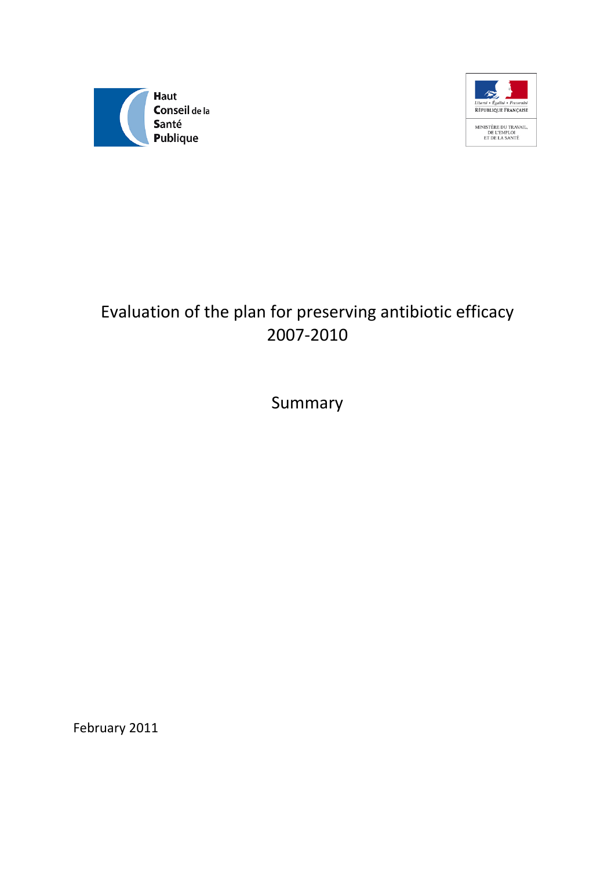



# Evaluation of the plan for preserving antibiotic efficacy 2007-2010

Summary

February 2011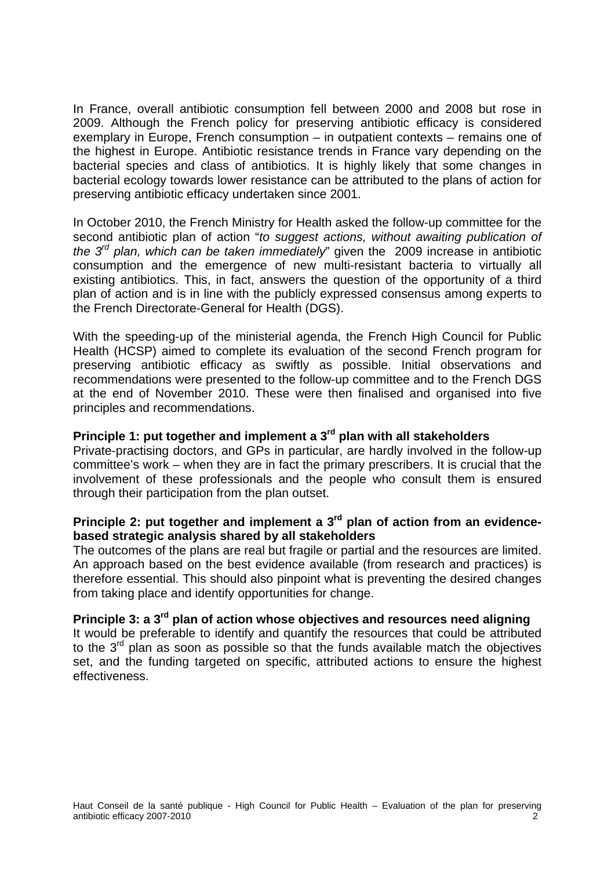In France, overall antibiotic consumption fell between 2000 and 2008 but rose in 2009. Although the French policy for preserving antibiotic efficacy is considered exemplary in Europe, French consumption – in outpatient contexts – remains one of the highest in Europe. Antibiotic resistance trends in France vary depending on the bacterial species and class of antibiotics. It is highly likely that some changes in bacterial ecology towards lower resistance can be attributed to the plans of action for preserving antibiotic efficacy undertaken since 2001.

In October 2010, the French Ministry for Health asked the follow-up committee for the second antibiotic plan of action "*to suggest actions, without awaiting publication of the 3rd plan, which can be taken immediately*" given the 2009 increase in antibiotic consumption and the emergence of new multi-resistant bacteria to virtually all existing antibiotics. This, in fact, answers the question of the opportunity of a third plan of action and is in line with the publicly expressed consensus among experts to the French Directorate-General for Health (DGS).

With the speeding-up of the ministerial agenda, the French High Council for Public Health (HCSP) aimed to complete its evaluation of the second French program for preserving antibiotic efficacy as swiftly as possible. Initial observations and recommendations were presented to the follow-up committee and to the French DGS at the end of November 2010. These were then finalised and organised into five principles and recommendations.

# **Principle 1: put together and implement a 3rd plan with all stakeholders**

Private-practising doctors, and GPs in particular, are hardly involved in the follow-up committee's work – when they are in fact the primary prescribers. It is crucial that the involvement of these professionals and the people who consult them is ensured through their participation from the plan outset.

# **Principle 2: put together and implement a 3rd plan of action from an evidencebased strategic analysis shared by all stakeholders**

The outcomes of the plans are real but fragile or partial and the resources are limited. An approach based on the best evidence available (from research and practices) is therefore essential. This should also pinpoint what is preventing the desired changes from taking place and identify opportunities for change.

# **Principle 3: a 3rd plan of action whose objectives and resources need aligning**

It would be preferable to identify and quantify the resources that could be attributed to the  $3<sup>rd</sup>$  plan as soon as possible so that the funds available match the objectives set, and the funding targeted on specific, attributed actions to ensure the highest effectiveness.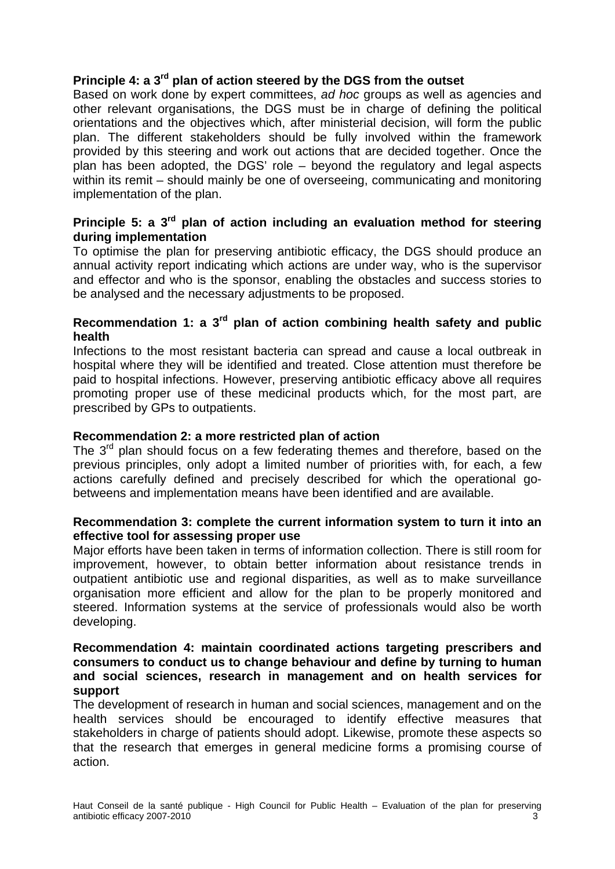# **Principle 4: a 3rd plan of action steered by the DGS from the outset**

Based on work done by expert committees, *ad hoc* groups as well as agencies and other relevant organisations, the DGS must be in charge of defining the political orientations and the objectives which, after ministerial decision, will form the public plan. The different stakeholders should be fully involved within the framework provided by this steering and work out actions that are decided together. Once the plan has been adopted, the DGS' role – beyond the regulatory and legal aspects within its remit – should mainly be one of overseeing, communicating and monitoring implementation of the plan.

## **Principle 5: a 3rd plan of action including an evaluation method for steering during implementation**

To optimise the plan for preserving antibiotic efficacy, the DGS should produce an annual activity report indicating which actions are under way, who is the supervisor and effector and who is the sponsor, enabling the obstacles and success stories to be analysed and the necessary adjustments to be proposed.

# **Recommendation 1: a 3rd plan of action combining health safety and public health**

Infections to the most resistant bacteria can spread and cause a local outbreak in hospital where they will be identified and treated. Close attention must therefore be paid to hospital infections. However, preserving antibiotic efficacy above all requires promoting proper use of these medicinal products which, for the most part, are prescribed by GPs to outpatients.

#### **Recommendation 2: a more restricted plan of action**

The  $3<sup>rd</sup>$  plan should focus on a few federating themes and therefore, based on the previous principles, only adopt a limited number of priorities with, for each, a few actions carefully defined and precisely described for which the operational gobetweens and implementation means have been identified and are available.

#### **Recommendation 3: complete the current information system to turn it into an effective tool for assessing proper use**

Major efforts have been taken in terms of information collection. There is still room for improvement, however, to obtain better information about resistance trends in outpatient antibiotic use and regional disparities, as well as to make surveillance organisation more efficient and allow for the plan to be properly monitored and steered. Information systems at the service of professionals would also be worth developing.

#### **Recommendation 4: maintain coordinated actions targeting prescribers and consumers to conduct us to change behaviour and define by turning to human and social sciences, research in management and on health services for support**

The development of research in human and social sciences, management and on the health services should be encouraged to identify effective measures that stakeholders in charge of patients should adopt. Likewise, promote these aspects so that the research that emerges in general medicine forms a promising course of action.